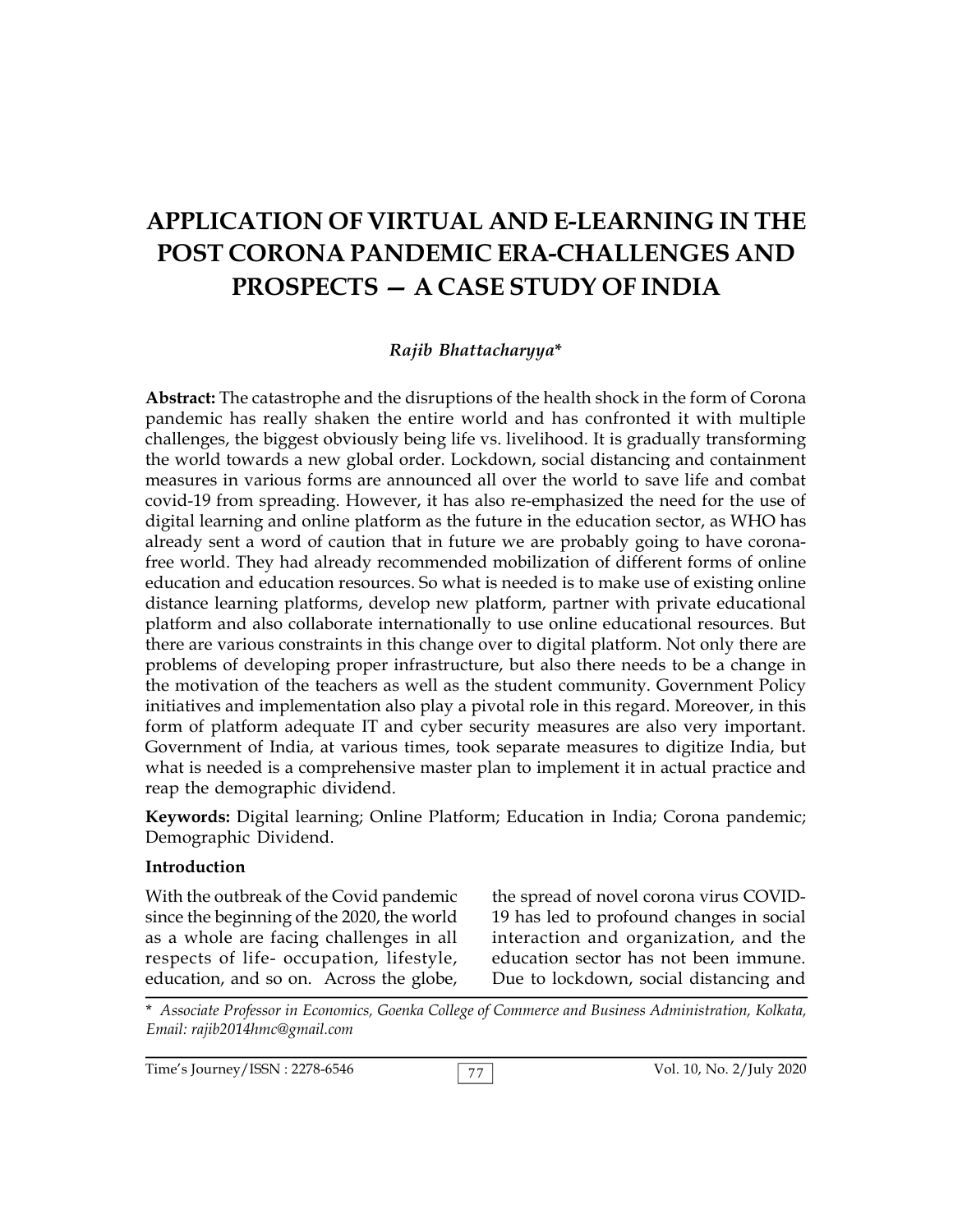# **APPLICATION OF VIRTUAL AND E-LEARNING IN THE POST CORONA PANDEMIC ERA-CHALLENGES AND PROSPECTS — A CASE STUDY OF INDIA**

#### *Rajib Bhattacharyya***\***

**Abstract:** The catastrophe and the disruptions of the health shock in the form of Corona pandemic has really shaken the entire world and has confronted it with multiple challenges, the biggest obviously being life vs. livelihood. It is gradually transforming the world towards a new global order. Lockdown, social distancing and containment measures in various forms are announced all over the world to save life and combat covid-19 from spreading. However, it has also re-emphasized the need for the use of digital learning and online platform as the future in the education sector, as WHO has already sent a word of caution that in future we are probably going to have coronafree world. They had already recommended mobilization of different forms of online education and education resources. So what is needed is to make use of existing online distance learning platforms, develop new platform, partner with private educational platform and also collaborate internationally to use online educational resources. But there are various constraints in this change over to digital platform. Not only there are problems of developing proper infrastructure, but also there needs to be a change in the motivation of the teachers as well as the student community. Government Policy initiatives and implementation also play a pivotal role in this regard. Moreover, in this form of platform adequate IT and cyber security measures are also very important. Government of India, at various times, took separate measures to digitize India, but what is needed is a comprehensive master plan to implement it in actual practice and reap the demographic dividend.

**Keywords:** Digital learning; Online Platform; Education in India; Corona pandemic; Demographic Dividend.

#### **Introduction**

With the outbreak of the Covid pandemic since the beginning of the 2020, the world as a whole are facing challenges in all respects of life- occupation, lifestyle, education, and so on. Across the globe,

the spread of novel corona virus COVID-19 has led to profound changes in social interaction and organization, and the education sector has not been immune. Due to lockdown, social distancing and

\* *Associate Professor in Economics, Goenka College of Commerce and Business Administration, Kolkata, Email: rajib2014hmc@gmail.com*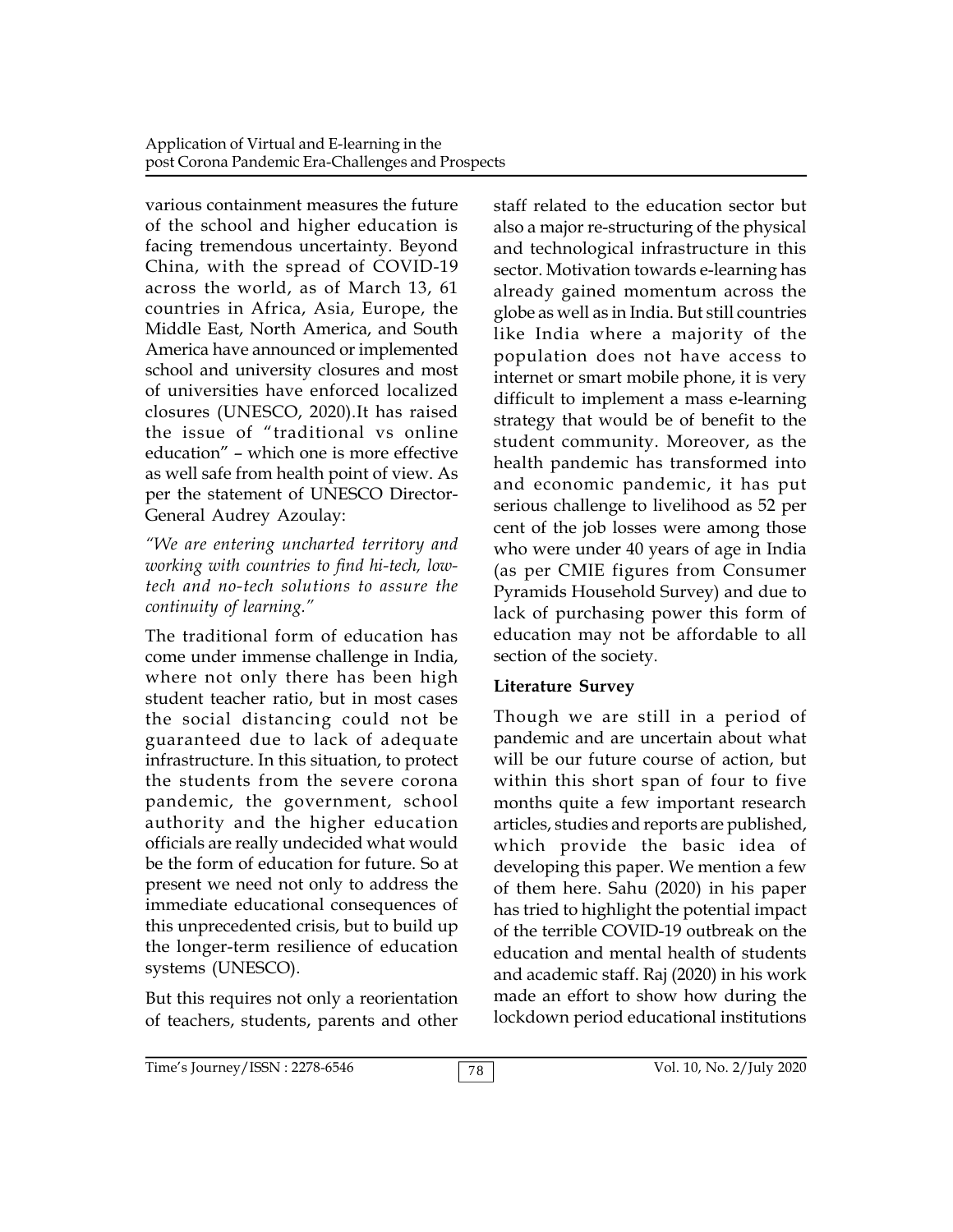various containment measures the future of the school and higher education is facing tremendous uncertainty. Beyond China, with the spread of COVID-19 across the world, as of March 13, 61 countries in Africa, Asia, Europe, the Middle East, North America, and South America have announced or implemented school and university closures and most of universities have enforced localized closures (UNESCO, 2020).It has raised the issue of "traditional vs online education" – which one is more effective as well safe from health point of view. As per the statement of UNESCO Director-General Audrey Azoulay:

*"We are entering uncharted territory and working with countries to find hi-tech, lowtech and no-tech solutions to assure the continuity of learning."*

The traditional form of education has come under immense challenge in India, where not only there has been high student teacher ratio, but in most cases the social distancing could not be guaranteed due to lack of adequate infrastructure. In this situation, to protect the students from the severe corona pandemic, the government, school authority and the higher education officials are really undecided what would be the form of education for future. So at present we need not only to address the immediate educational consequences of this unprecedented crisis, but to build up the longer-term resilience of education systems (UNESCO).

But this requires not only a reorientation of teachers, students, parents and other staff related to the education sector but also a major re-structuring of the physical and technological infrastructure in this sector. Motivation towards e-learning has already gained momentum across the globe as well as in India. But still countries like India where a majority of the population does not have access to internet or smart mobile phone, it is very difficult to implement a mass e-learning strategy that would be of benefit to the student community. Moreover, as the health pandemic has transformed into and economic pandemic, it has put serious challenge to livelihood as 52 per cent of the job losses were among those who were under 40 years of age in India (as per CMIE figures from Consumer Pyramids Household Survey) and due to lack of purchasing power this form of education may not be affordable to all section of the society.

# **Literature Survey**

Though we are still in a period of pandemic and are uncertain about what will be our future course of action, but within this short span of four to five months quite a few important research articles, studies and reports are published, which provide the basic idea of developing this paper. We mention a few of them here. Sahu (2020) in his paper has tried to highlight the potential impact of the terrible COVID-19 outbreak on the education and mental health of students and academic staff. Raj (2020) in his work made an effort to show how during the lockdown period educational institutions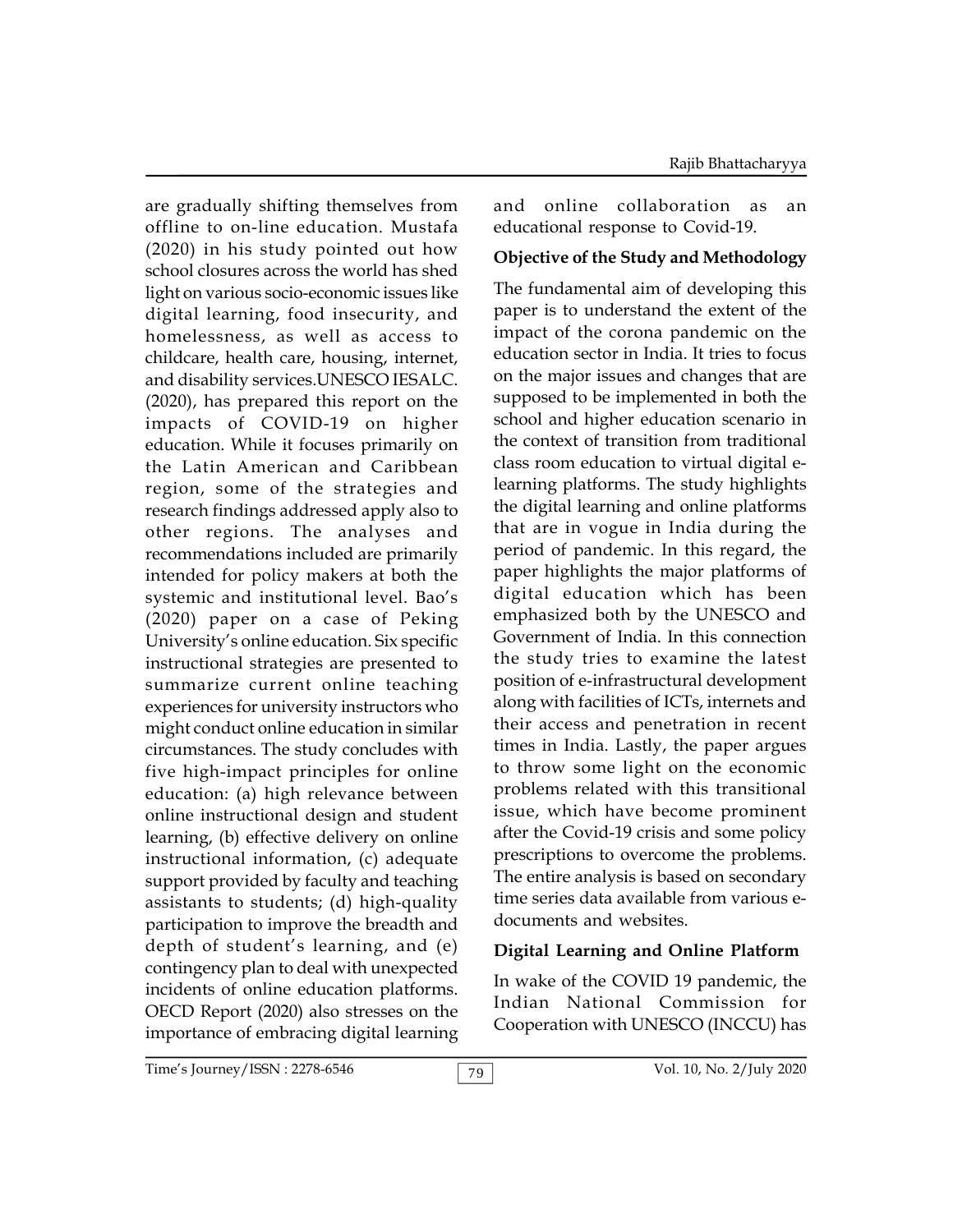are gradually shifting themselves from offline to on-line education. Mustafa (2020) in his study pointed out how school closures across the world has shed light on various socio-economic issues like digital learning, food insecurity, and homelessness, as well as access to childcare, health care, housing, internet, and disability services.UNESCO IESALC. (2020), has prepared this report on the impacts of COVID-19 on higher education. While it focuses primarily on the Latin American and Caribbean region, some of the strategies and research findings addressed apply also to other regions. The analyses and recommendations included are primarily intended for policy makers at both the systemic and institutional level. Bao's (2020) paper on a case of Peking University's online education. Six specific instructional strategies are presented to summarize current online teaching experiences for university instructors who might conduct online education in similar circumstances. The study concludes with five high-impact principles for online education: (a) high relevance between online instructional design and student learning, (b) effective delivery on online instructional information, (c) adequate support provided by faculty and teaching assistants to students; (d) high-quality participation to improve the breadth and depth of student's learning, and (e) contingency plan to deal with unexpected incidents of online education platforms. OECD Report (2020) also stresses on the importance of embracing digital learning and online collaboration as an educational response to Covid-19.

#### **Objective of the Study and Methodology**

The fundamental aim of developing this paper is to understand the extent of the impact of the corona pandemic on the education sector in India. It tries to focus on the major issues and changes that are supposed to be implemented in both the school and higher education scenario in the context of transition from traditional class room education to virtual digital elearning platforms. The study highlights the digital learning and online platforms that are in vogue in India during the period of pandemic. In this regard, the paper highlights the major platforms of digital education which has been emphasized both by the UNESCO and Government of India. In this connection the study tries to examine the latest position of e-infrastructural development along with facilities of ICTs, internets and their access and penetration in recent times in India. Lastly, the paper argues to throw some light on the economic problems related with this transitional issue, which have become prominent after the Covid-19 crisis and some policy prescriptions to overcome the problems. The entire analysis is based on secondary time series data available from various edocuments and websites

#### **Digital Learning and Online Platform**

In wake of the COVID 19 pandemic, the Indian National Commission for Cooperation with UNESCO (INCCU) has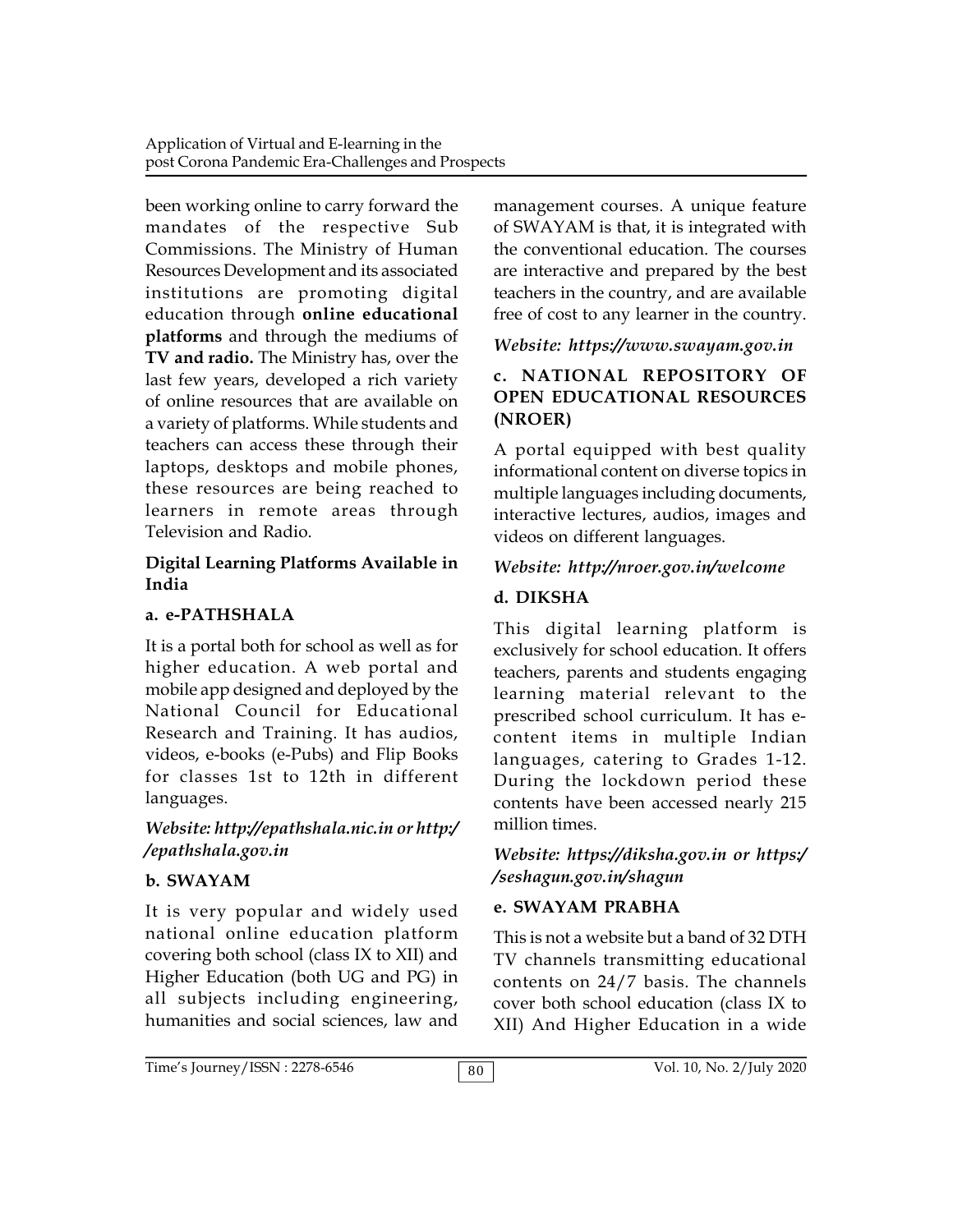been working online to carry forward the mandates of the respective Sub Commissions. The Ministry of Human Resources Development and its associated institutions are promoting digital education through **online educational platforms** and through the mediums of **TV and radio.** The Ministry has, over the last few years, developed a rich variety of online resources that are available on a variety of platforms. While students and teachers can access these through their laptops, desktops and mobile phones, these resources are being reached to learners in remote areas through Television and Radio.

# **Digital Learning Platforms Available in India**

# **a. e-PATHSHALA**

It is a portal both for school as well as for higher education. A web portal and mobile app designed and deployed by the National Council for Educational Research and Training. It has audios, videos, e-books (e-Pubs) and Flip Books for classes 1st to 12th in different languages.

## *Website: http://epathshala.nic.in or http:/ /epathshala.gov.in*

# **b. SWAYAM**

It is very popular and widely used national online education platform covering both school (class IX to XII) and Higher Education (both UG and PG) in all subjects including engineering, humanities and social sciences, law and management courses. A unique feature of SWAYAM is that, it is integrated with the conventional education. The courses are interactive and prepared by the best teachers in the country, and are available free of cost to any learner in the country.

# *Website: https://www.swayam.gov.in*

## **c. NATIONAL REPOSITORY OF OPEN EDUCATIONAL RESOURCES (NROER)**

A portal equipped with best quality informational content on diverse topics in multiple languages including documents, interactive lectures, audios, images and videos on different languages.

# *Website: http://nroer.gov.in/welcome*

# **d. DIKSHA**

This digital learning platform is exclusively for school education. It offers teachers, parents and students engaging learning material relevant to the prescribed school curriculum. It has econtent items in multiple Indian languages, catering to Grades 1-12. During the lockdown period these contents have been accessed nearly 215 million times.

*Website: https://diksha.gov.in or https:/ /seshagun.gov.in/shagun*

# **e. SWAYAM PRABHA**

This is not a website but a band of 32 DTH TV channels transmitting educational contents on 24/7 basis. The channels cover both school education (class IX to XII) And Higher Education in a wide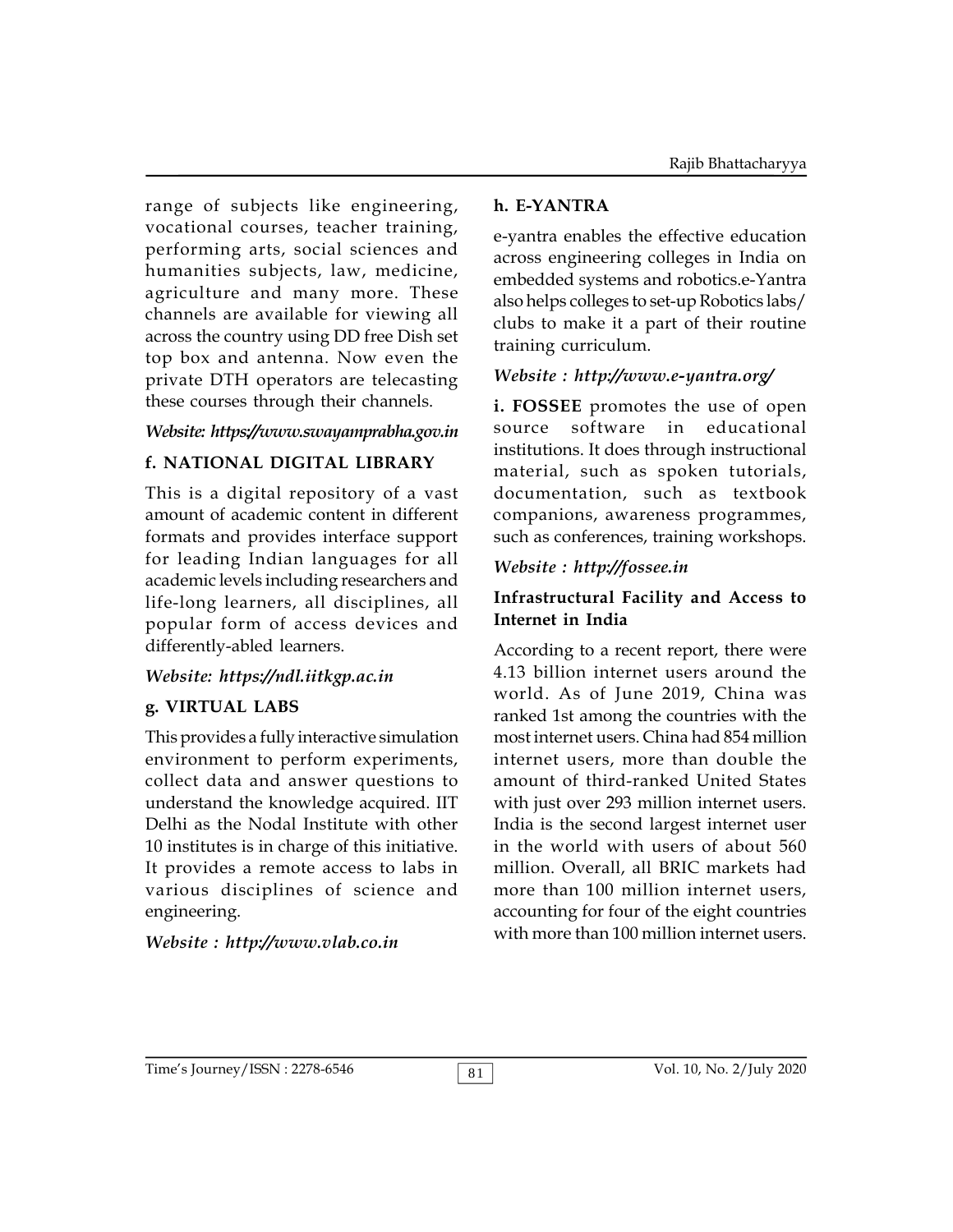range of subjects like engineering, vocational courses, teacher training, performing arts, social sciences and humanities subjects, law, medicine, agriculture and many more. These channels are available for viewing all across the country using DD free Dish set top box and antenna. Now even the private DTH operators are telecasting these courses through their channels.

# *Website: https://www.swayamprabha.gov.in*

# **f. NATIONAL DIGITAL LIBRARY**

This is a digital repository of a vast amount of academic content in different formats and provides interface support for leading Indian languages for all academic levels including researchers and life-long learners, all disciplines, all popular form of access devices and differently-abled learners.

#### *Website: https://ndl.iitkgp.ac.in*

#### **g. VIRTUAL LABS**

This provides a fully interactive simulation environment to perform experiments, collect data and answer questions to understand the knowledge acquired. IIT Delhi as the Nodal Institute with other 10 institutes is in charge of this initiative. It provides a remote access to labs in various disciplines of science and engineering.

#### *Website : http://www.vlab.co.in*

#### **h. E-YANTRA**

e-yantra enables the effective education across engineering colleges in India on embedded systems and robotics.e-Yantra also helps colleges to set-up Robotics labs/ clubs to make it a part of their routine training curriculum.

## *Website : http://www.e-yantra.org/*

**i. FOSSEE** promotes the use of open software in educational institutions. It does through instructional material, such as spoken tutorials, documentation, such as textbook companions, awareness programmes, such as conferences, training workshops.

#### *Website : http://fossee.in*

## **Infrastructural Facility and Access to Internet in India**

According to a recent report, there were 4.13 billion internet users around the world. As of June 2019, China was ranked 1st among the countries with the most internet users. China had 854 million internet users, more than double the amount of third-ranked United States with just over 293 million internet users. India is the second largest internet user in the world with users of about 560 million. Overall, all BRIC markets had more than 100 million internet users, accounting for four of the eight countries with more than 100 million internet users.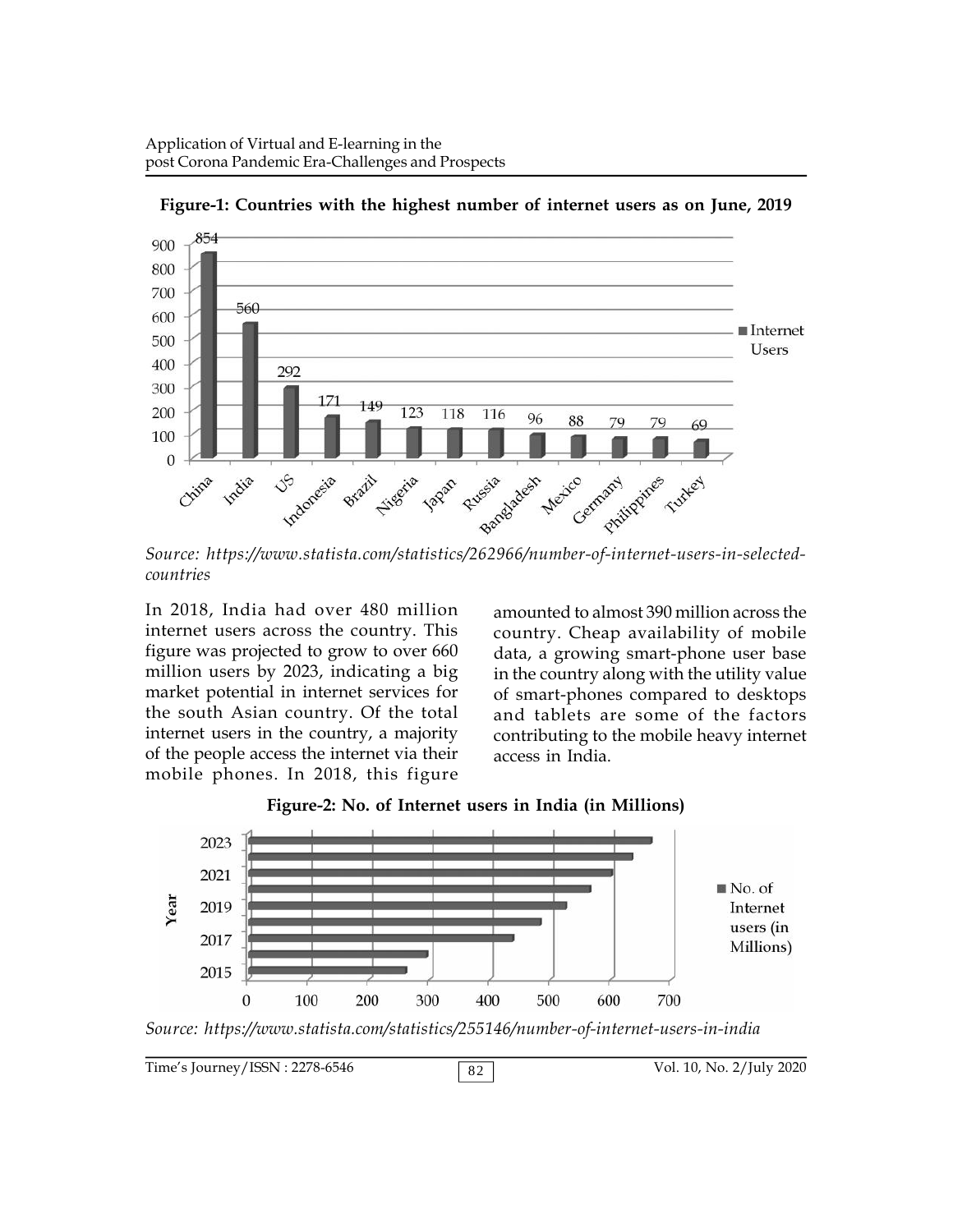

**Figure-1: Countries with the highest number of internet users as on June, 2019**

*Source: https://www.statista.com/statistics/262966/number-of-internet-users-in-selectedcountries*

In 2018, India had over 480 million internet users across the country. This figure was projected to grow to over 660 million users by 2023, indicating a big market potential in internet services for the south Asian country. Of the total internet users in the country, a majority of the people access the internet via their mobile phones. In 2018, this figure

amounted to almost 390 million across the country. Cheap availability of mobile data, a growing smart-phone user base in the country along with the utility value of smart-phones compared to desktops and tablets are some of the factors contributing to the mobile heavy internet access in India.



**Figure-2: No. of Internet users in India (in Millions)**

Time's Journey/ISSN : 2278-6546 82 Vol. 10, No. 2/July 2020

*Source: https://www.statista.com/statistics/255146/number-of-internet-users-in-india*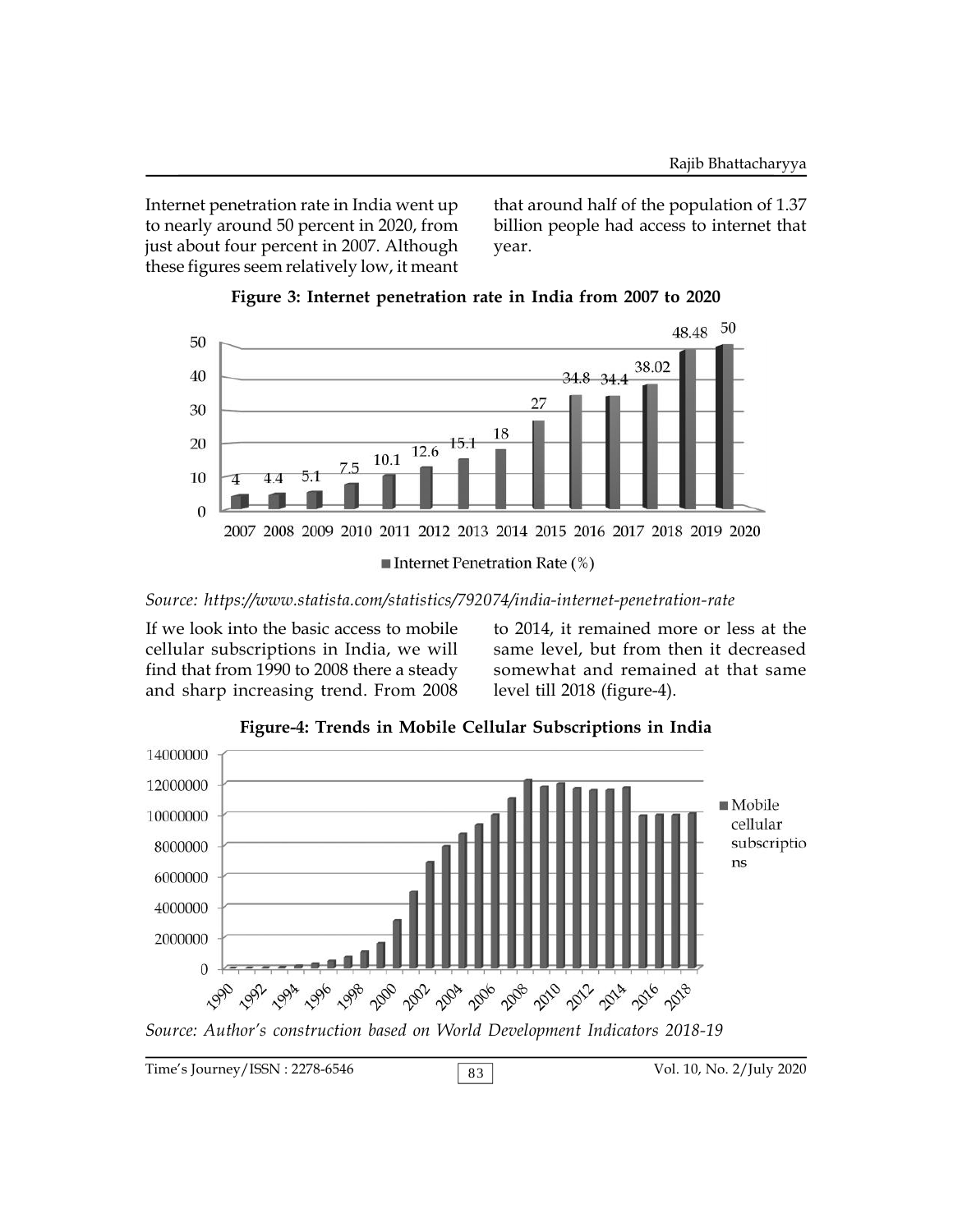Internet penetration rate in India went up to nearly around 50 percent in 2020, from just about four percent in 2007. Although these figures seem relatively low, it meant

that around half of the population of 1.37 billion people had access to internet that year.





*Source: https://www.statista.com/statistics/792074/india-internet-penetration-rate*

If we look into the basic access to mobile cellular subscriptions in India, we will find that from 1990 to 2008 there a steady and sharp increasing trend. From 2008

to 2014, it remained more or less at the same level, but from then it decreased somewhat and remained at that same level till 2018 (figure-4).



**Figure-4: Trends in Mobile Cellular Subscriptions in India**

Time's Journey/ISSN : 2278-6546 <br>
83 Vol. 10, No. 2/July 2020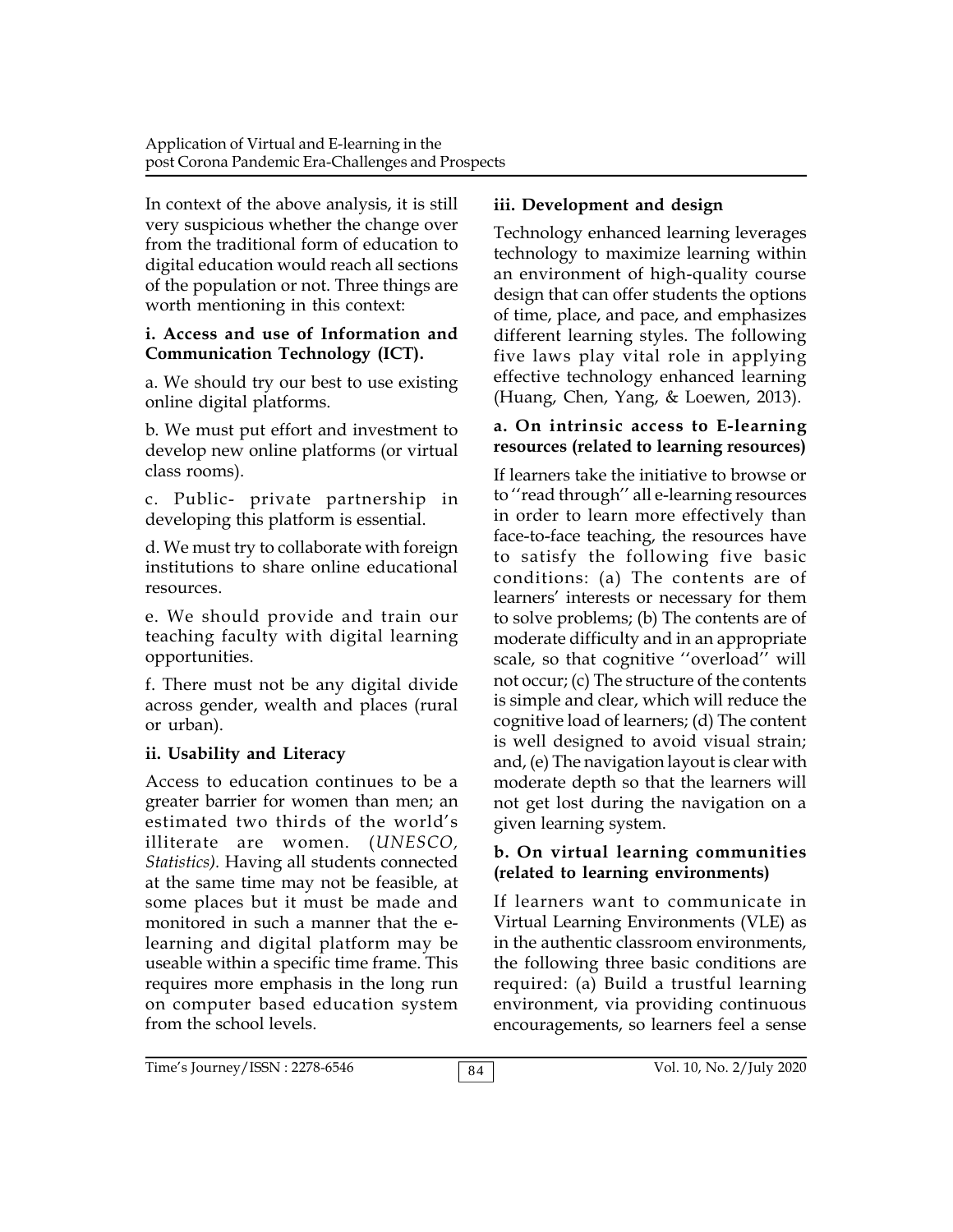In context of the above analysis, it is still very suspicious whether the change over from the traditional form of education to digital education would reach all sections of the population or not. Three things are worth mentioning in this context:

#### **i. Access and use of Information and Communication Technology (ICT).**

a. We should try our best to use existing online digital platforms.

b. We must put effort and investment to develop new online platforms (or virtual class rooms).

c. Public- private partnership in developing this platform is essential.

d. We must try to collaborate with foreign institutions to share online educational resources.

e. We should provide and train our teaching faculty with digital learning opportunities.

f. There must not be any digital divide across gender, wealth and places (rural or urban).

# **ii. Usability and Literacy**

Access to education continues to be a greater barrier for women than men; an estimated two thirds of the world's illiterate are women. (*UNESCO, Statistics).* Having all students connected at the same time may not be feasible, at some places but it must be made and monitored in such a manner that the elearning and digital platform may be useable within a specific time frame. This requires more emphasis in the long run on computer based education system from the school levels.

# **iii. Development and design**

Technology enhanced learning leverages technology to maximize learning within an environment of high-quality course design that can offer students the options of time, place, and pace, and emphasizes different learning styles. The following five laws play vital role in applying effective technology enhanced learning (Huang, Chen, Yang, & Loewen, 2013).

# **a. On intrinsic access to E-learning resources (related to learning resources)**

If learners take the initiative to browse or to ''read through'' all e-learning resources in order to learn more effectively than face-to-face teaching, the resources have to satisfy the following five basic conditions: (a) The contents are of learners' interests or necessary for them to solve problems; (b) The contents are of moderate difficulty and in an appropriate scale, so that cognitive ''overload'' will not occur; (c) The structure of the contents is simple and clear, which will reduce the cognitive load of learners; (d) The content is well designed to avoid visual strain; and, (e) The navigation layout is clear with moderate depth so that the learners will not get lost during the navigation on a given learning system.

#### **b. On virtual learning communities (related to learning environments)**

If learners want to communicate in Virtual Learning Environments (VLE) as in the authentic classroom environments, the following three basic conditions are required: (a) Build a trustful learning environment, via providing continuous encouragements, so learners feel a sense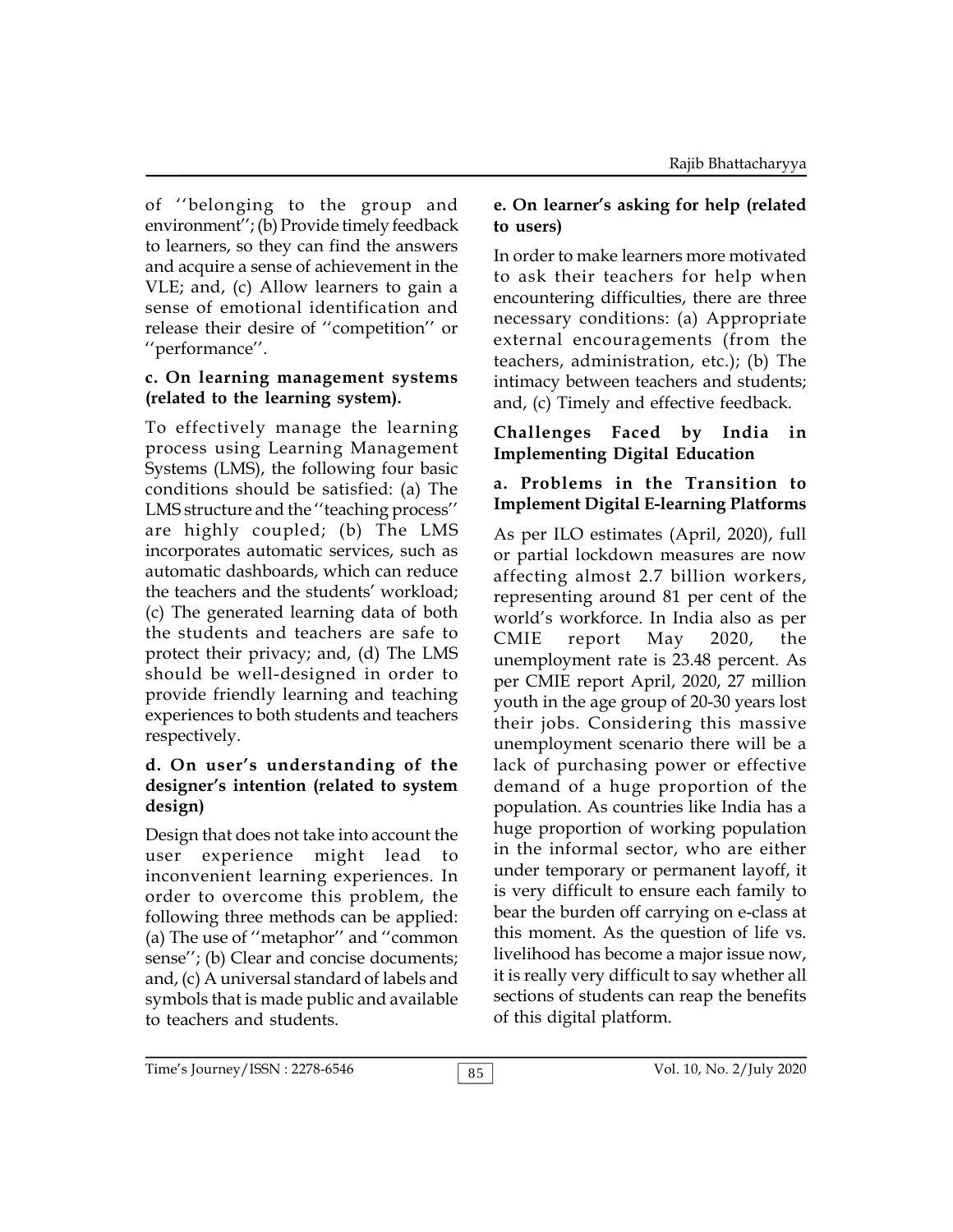of ''belonging to the group and environment''; (b) Provide timely feedback to learners, so they can find the answers and acquire a sense of achievement in the VLE; and, (c) Allow learners to gain a sense of emotional identification and release their desire of ''competition'' or ''performance''.

#### **c. On learning management systems (related to the learning system).**

To effectively manage the learning process using Learning Management Systems (LMS), the following four basic conditions should be satisfied: (a) The LMS structure and the ''teaching process'' are highly coupled; (b) The LMS incorporates automatic services, such as automatic dashboards, which can reduce the teachers and the students' workload; (c) The generated learning data of both the students and teachers are safe to CMIE protect their privacy; and, (d) The LMS should be well-designed in order to provide friendly learning and teaching experiences to both students and teachers respectively.

#### **d. On user's understanding of the designer's intention (related to system design)**

Design that does not take into account the user experience might lead to inconvenient learning experiences. In order to overcome this problem, the following three methods can be applied: (a) The use of ''metaphor'' and ''common sense''; (b) Clear and concise documents; and, (c) A universal standard of labels and symbols that is made public and available to teachers and students.

# **e. On learner's asking for help (related to users)**

In order to make learners more motivated to ask their teachers for help when encountering difficulties, there are three necessary conditions: (a) Appropriate external encouragements (from the teachers, administration, etc.); (b) The intimacy between teachers and students; and, (c) Timely and effective feedback.

## **Challenges Faced by India in Implementing Digital Education**

## **a. Problems in the Transition to Implement Digital E-learning Platforms**

As per ILO estimates (April, 2020), full or partial lockdown measures are now affecting almost 2.7 billion workers, representing around 81 per cent of the world's workforce. In India also as per report  $May 2020$ , the unemployment rate is 23.48 percent. As per CMIE report April, 2020, 27 million youth in the age group of 20-30 years lost their jobs. Considering this massive unemployment scenario there will be a lack of purchasing power or effective demand of a huge proportion of the population. As countries like India has a huge proportion of working population in the informal sector, who are either under temporary or permanent layoff, it is very difficult to ensure each family to bear the burden off carrying on e-class at this moment. As the question of life vs. livelihood has become a major issue now, it is really very difficult to say whether all sections of students can reap the benefits of this digital platform.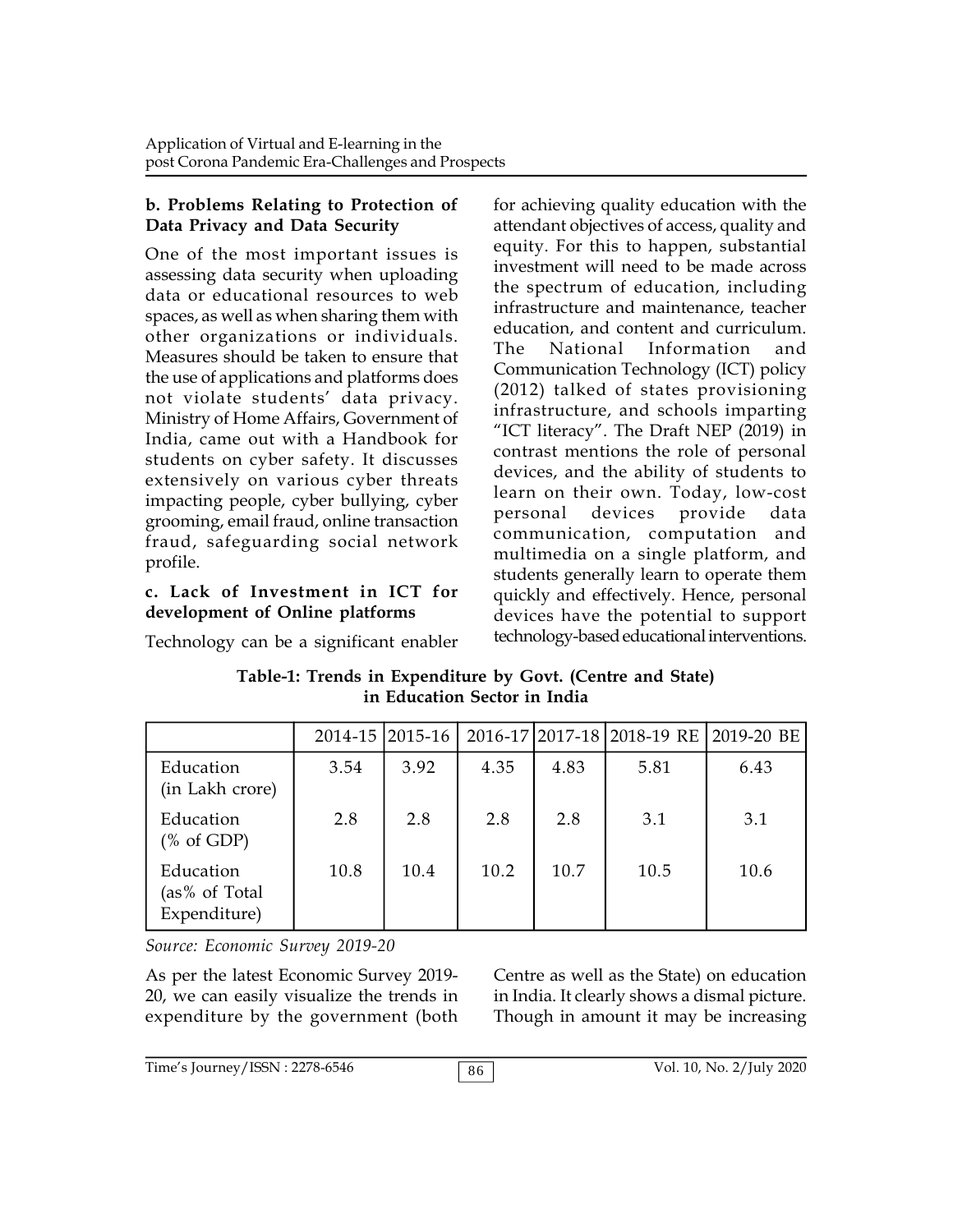### **b. Problems Relating to Protection of Data Privacy and Data Security**

One of the most important issues is assessing data security when uploading data or educational resources to web spaces, as well as when sharing them with other organizations or individuals. Measures should be taken to ensure that The the use of applications and platforms does not violate students' data privacy. Ministry of Home Affairs, Government of India, came out with a Handbook for students on cyber safety. It discusses extensively on various cyber threats impacting people, cyber bullying, cyber<br>resonance cyclification of the personal grooming, email fraud, online transaction fraud, safeguarding social network profile.

# **c. Lack of Investment in ICT for development of Online platforms**

Technology can be a significant enabler

for achieving quality education with the attendant objectives of access, quality and equity. For this to happen, substantial investment will need to be made across the spectrum of education, including infrastructure and maintenance, teacher education, and content and curriculum. National Information and Communication Technology (ICT) policy (2012) talked of states provisioning infrastructure, and schools imparting "ICT literacy". The Draft NEP (2019) in contrast mentions the role of personal devices, and the ability of students to learn on their own. Today, low-cost devices provide data communication, computation and multimedia on a single platform, and students generally learn to operate them quickly and effectively. Hence, personal devices have the potential to support technology-based educational interventions.

**Table-1: Trends in Expenditure by Govt. (Centre and State) in Education Sector in India**

|                                                       |      | 2014-15 2015-16 |      |      | 2016-17 2017-18 2018-19 RE | 2019-20 BE |
|-------------------------------------------------------|------|-----------------|------|------|----------------------------|------------|
| Education<br>(in Lakh crore)                          | 3.54 | 3.92            | 4.35 | 4.83 | 5.81                       | 6.43       |
| Education<br>$(% \mathcal{L}_{0}^{\infty}$ (% of GDP) | 2.8  | 2.8             | 2.8  | 2.8  | 3.1                        | 3.1        |
| Education<br>(as% of Total<br>Expenditure)            | 10.8 | 10.4            | 10.2 | 10.7 | 10.5                       | 10.6       |

*Source: Economic Survey 2019-20*

As per the latest Economic Survey 2019- 20, we can easily visualize the trends in expenditure by the government (both

Centre as well as the State) on education in India. It clearly shows a dismal picture. Though in amount it may be increasing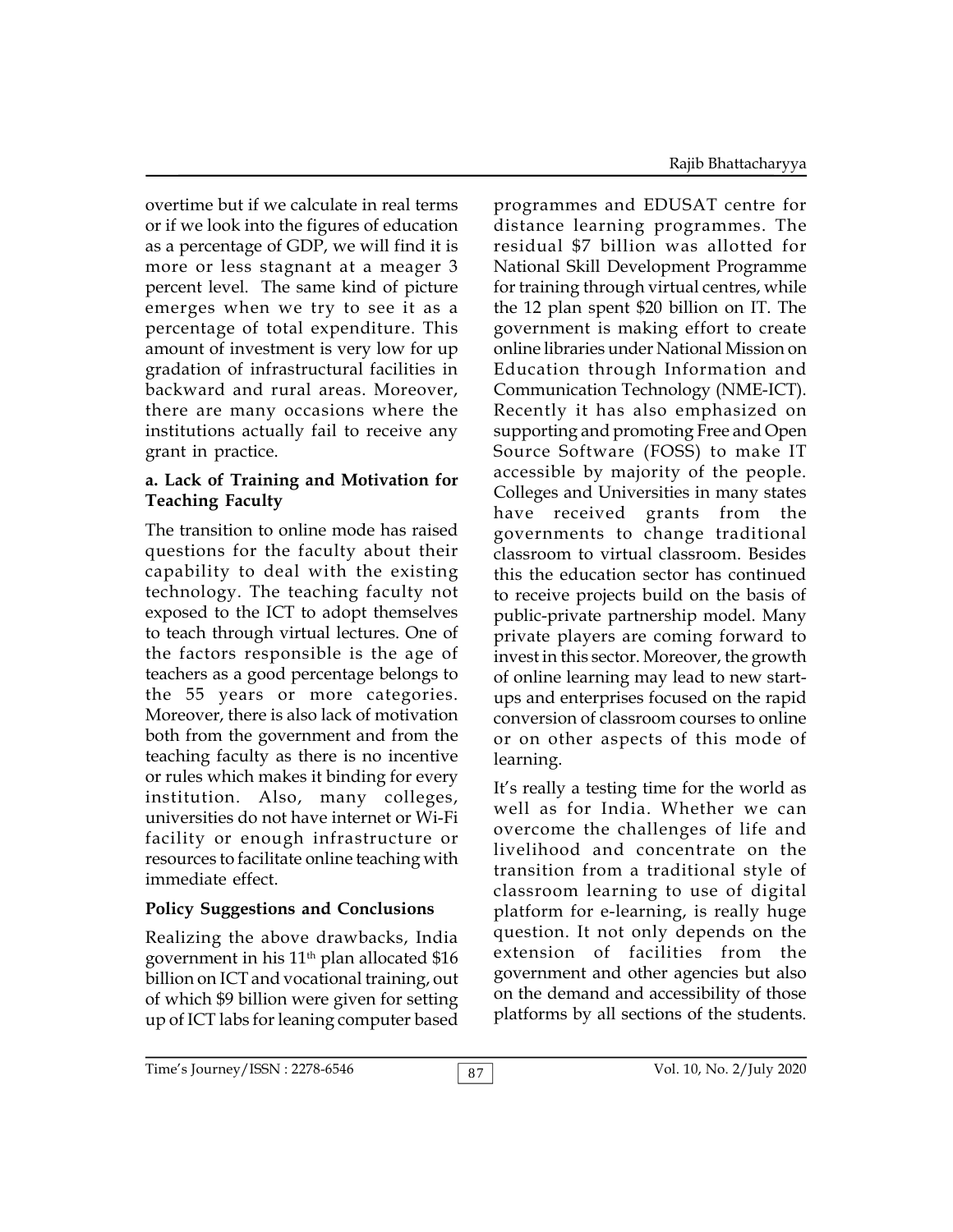overtime but if we calculate in real terms or if we look into the figures of education as a percentage of GDP, we will find it is more or less stagnant at a meager 3 percent level. The same kind of picture emerges when we try to see it as a percentage of total expenditure. This amount of investment is very low for up gradation of infrastructural facilities in backward and rural areas. Moreover, there are many occasions where the institutions actually fail to receive any grant in practice.

#### **a. Lack of Training and Motivation for Teaching Faculty**

The transition to online mode has raised questions for the faculty about their capability to deal with the existing technology. The teaching faculty not exposed to the ICT to adopt themselves to teach through virtual lectures. One of the factors responsible is the age of teachers as a good percentage belongs to the 55 years or more categories. Moreover, there is also lack of motivation both from the government and from the teaching faculty as there is no incentive or rules which makes it binding for every institution. Also, many colleges, universities do not have internet or Wi-Fi facility or enough infrastructure or resources to facilitate online teaching with immediate effect.

# **Policy Suggestions and Conclusions**

Realizing the above drawbacks, India government in his  $11<sup>th</sup>$  plan allocated \$16 billion on ICT and vocational training, out of which \$9 billion were given for setting up of ICT labs for leaning computer based

programmes and EDUSAT centre for distance learning programmes. The residual \$7 billion was allotted for National Skill Development Programme for training through virtual centres, while the 12 plan spent \$20 billion on IT. The government is making effort to create online libraries under National Mission on Education through Information and Communication Technology (NME-ICT). Recently it has also emphasized on supporting and promoting Free and Open Source Software (FOSS) to make IT accessible by majority of the people. Colleges and Universities in many states have received grants from the governments to change traditional classroom to virtual classroom. Besides this the education sector has continued to receive projects build on the basis of public-private partnership model. Many private players are coming forward to invest in this sector. Moreover, the growth of online learning may lead to new startups and enterprises focused on the rapid conversion of classroom courses to online or on other aspects of this mode of learning.

It's really a testing time for the world as well as for India. Whether we can overcome the challenges of life and livelihood and concentrate on the transition from a traditional style of classroom learning to use of digital platform for e-learning, is really huge question. It not only depends on the extension of facilities from the government and other agencies but also on the demand and accessibility of those platforms by all sections of the students.